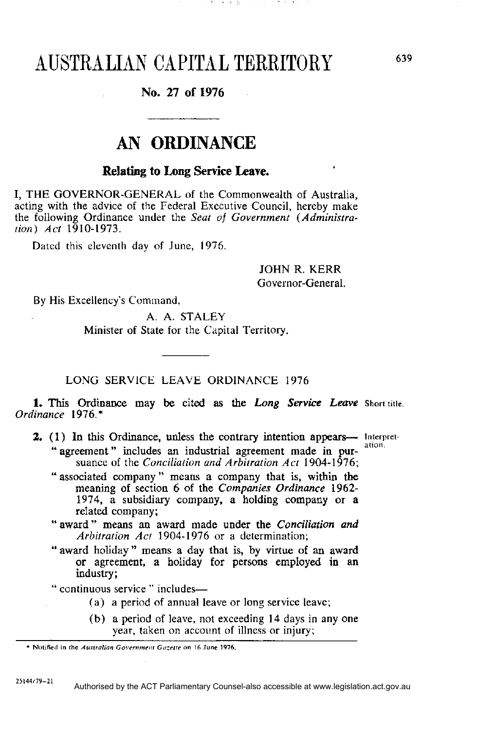## AUSTRALIAN CAPITAL TERRITORY

## **No. 27 of 1976**

## **AN ORDINANCE**

## **Relating to Long Service Leave.**

I, THE GOVERNOR-GENERAL of the Commonwealth of Australia, acting with the advice of the Federal Executive Council, hereby make the following Ordinance under the *Seat of Government (Administration) Act* 1910-1973.

Dated this eleventh day of June, 1976.

JOHN R. KERR Governor-General.

By His Excellency's Command,

A. A. STALEY Minister of State for the Capital Territory.

LONG SERVICE LEAVE ORDINANCE 1976

**1.** This Ordinance may be cited as the *Long Service Leave Ordinance* 1976.\*

- **2.** (1) In this Ordinance, unless the contrary intention appears— Interpret-" agreement" includes an industrial agreement made in pursuance of the *Conciliation and Arbitration Act* 1904-1976;
	- " associated company" means a company that is, within the meaning of section 6 of the *Companies Ordinance* 1962- 1974, a subsidiary company, a holding company or a related company;
	- " award " means an award made under the *Conciliation and Arbitration Act* 1904-1976 or a determination;
	- " award holiday " means a day that is, by virtue of an award or agreement, a holiday for persons employed in an industry;
	- " continuous service " includes—
		- (a) a period of annual leave or long service leave;
		- (b) a period of leave, not exceeding 14 days in any one year, taken on account of illness or injury;

<sup>\*</sup> Notified in the Australian Government Gazette on 16 June 1976. **\* Notified in the** *Australian Government Gazette* **on 16 June 1976.**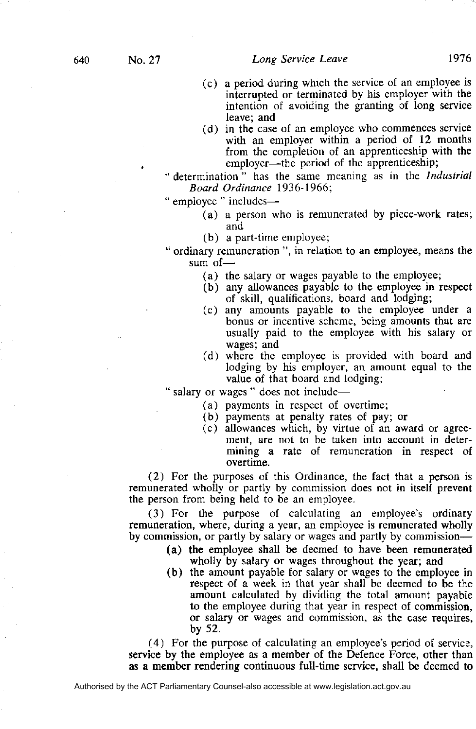- (c) a period during which the service of an employee is interrupted or terminated by his employer with the intention of avoiding the granting of long service leave; and
- (d) in the case of an employee who commences service with an employer within a period of 12 months from the completion of an apprenticeship with the employer—the period of the apprenticeship;
- " determination" has the same meaning as in the *Industrial Board Ordinance* 1936-1966;

" employee " includes—

- (a) a person who is remunerated by piece-work rates; and
- (b) a part-time employee;
- " ordinary remuneration ", in relation to an employee, means the sum of—
	- (a) the salary or wages payable to the employee;
	- (b) any allowances payable to the employee in respect of skill, qualifications, board and lodging;
	- (c) any amounts payable to the employee under a bonus or incentive scheme, being amounts that are usually paid to the employee with his salary or wages; and
	- (d) where the employee is provided with board and lodging by his employer, an amount equal to the value of that board and lodging;

" salary or wages " does not include—

- (a) payments in respect of overtime;
- (b) payments at penalty rates of pay; or
- (c) allowances which, by virtue of an award or agreement, are not to be taken into account in determining a rate of remuneration in respect of overtime.

(2) For the purposes of this Ordinance, the fact that a person is remunerated wholly or partly by commission does not in itself prevent the person from being held to be an employee.

(3) For the purpose of calculating an employee's ordinary remuneration, where, during a year, an employee is remunerated wholly by commission, or partly by salary or wages and partly by commission—

- (a) the employee shall be deemed to have been remunerated wholly by salary or wages throughout the year; and
- (b) the amount payable for salary or wages to the employee in respect of a week in that year shall be deemed to be the amount calculated by dividing the total amount payable to the employee during that year in respect of commission, or salary or wages and commission, as the case requires, by 52.

(4) For the purpose of calculating an employee's period of service, service by the employee as a member of the Defence Force, other than as a member rendering continuous full-time service, shall be deemed to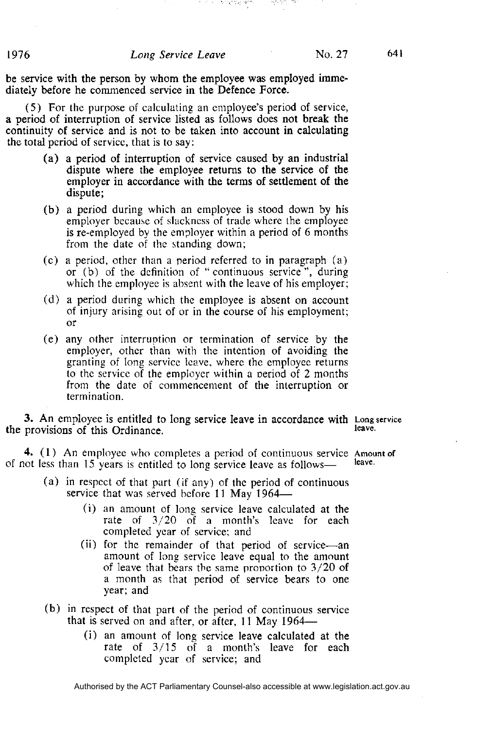ik i temat gus tarts

be service with the person by whom the employee was employed immediately before he commenced service in the Defence Force.

(5) For the purpose of calculating an employee's period of service, a period of interruption of service listed as follows does not break the continuity of service and is not to be taken into account in calculating the total period of service, that is to say:

- (a ) a period of interruption of service caused by an industrial dispute where the employee returns to the service of the employer in accordance with the terms of settlement of the dispute;
- (b) a period during which an employee is stood down by his employer because of slackness of trade where the employee is re-employed by the employer within a period of 6 months from the date of the standing down;
- (c) a period, other than a period referred to in paragraph (a) or (b) of the definition of "continuous service", during which the employee is absent with the leave of his employer;
- (d) a period during which the employee is absent on account of injury arising out of or in the course of his employment; or
- (e) any other interruption or termination of service by the employer, other than with the intention of avoiding the granting of long service leave, where the employee returns to the service of the employer within a period of 2 months from the date of commencement of the interruption or termination.

**3.** An employee is entitled to long service leave in accordance with Long service leave. the provisions of this Ordinance.

**4.** (1) An employee who completes a period of continuous service leave. of not less than 15 years is entitled to long service leave as follows—

- (a) in respect of that part (if any) of the period of continuous service that was served before 11 May 1964—
	- (i) an amount of long service leave calculated at the rate of 3/20 of a month's leave for each completed year of service; and
	- (ii) for the remainder of that period of service—an amount of long service leave equal to the amount of leave that bears the same proportion to 3/20 of a month as that period of service bears to one year; and
- (b) in respect of that part of the period of continuous service that is served on and after, or after, 11 May 1964—
	- (i) an amount of long service leave calculated at the rate of 3/15 of a month's leave for each completed year of service; and

1976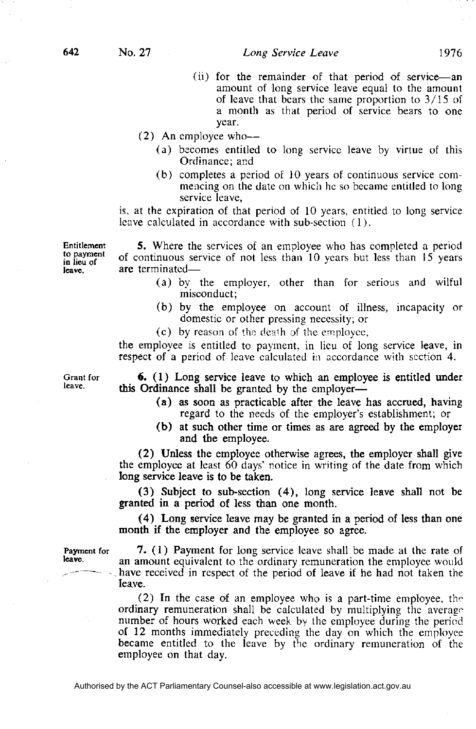(ii) for the remainder of that period of service—an amount of long service leave equal to the amount of leave that bears the same proportion to 3/15 of a month as that period of service bears to one year.

(2) An employee who—

- (a) becomes entitled to long service leave by virtue of this Ordinance; and
- (b) completes a period of 10 years of continuous service commencing on the date on which he so became entitled to long service leave,

is, at the expiration of that period of 10 years, entitled to long service leave calculated in accordance with sub-section (1).

Entitlement **5.** Where the services of an employee who has completed a period to payment of continuous service of not less than 10 years but less than 15 years are terminated—

- (a) by the employer, other than for serious and wilful misconduct;
- (b) by the employee on account of illness, incapacity or domestic or other pressing necessity; or
- (c) by reason of the death of the employee,

the employee is entitled to payment, in lieu of long service leave, in respect of a period of leave calculated in accordance with section 4.

**Grant** for leave.

in lieu of leave.

> **6.** (1) Long service leave to which an employee is entitled under this Ordinance shall be granted by the employer—

- (a) as soon as practicable after the leave has accrued, having regard to the needs of the employer's establishment; or
- **(b)** at such other time or times as are agreed by the employer and the employee.

**(2)** Unless the employee otherwise agrees, the employer shall give the employee at least 60 days' notice in writing of the date from which long service leave is to be taken.

(3) Subject to sub-section (4), long service leave shall not be granted in a period of less than one month.

(4) Long service leave may be granted in a period of less than one month if the employer and the employee so agree.

Payment for leave.

**7.** (1) Payment for long service leave shall be made at the rate of an amount equivalent to the ordinary remuneration the employee would have received in respect of the period of leave if he had not taken the leave.

(2) In the case of an employee who is a part-time employee, the ordinary remuneration shall be calculated by multiplying the average number of hours worked each week by the employee during the period of 12 months immediately preceding the day on which the employee became entitled to the leave by the ordinary remuneration of the employee on that day.

642

No. 27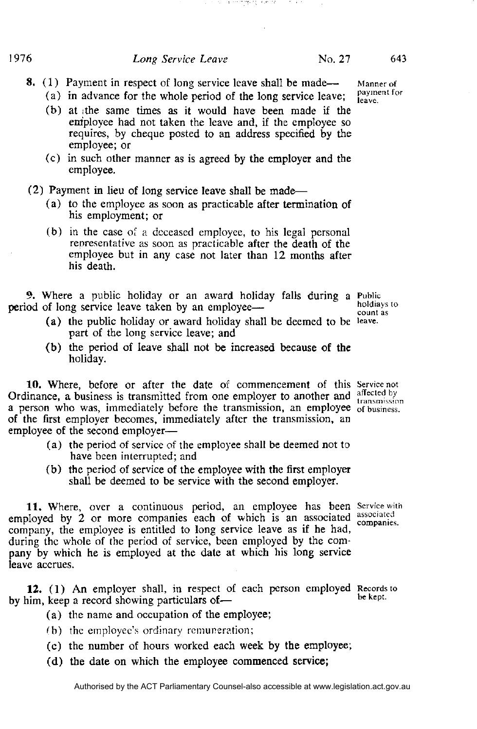- **8.** (1) Payment in respect of long service leave shall be made—
	- (a) in advance for the whole period of the long service leave;

计数据 医卡特林氏试验检尿素 计数据分类器

**State Street** 

- (b) at the same times as it would have been made if the employee had not taken the leave and, if the employee so requires, by cheque posted to an address specified by the employee; or
- (c) in such other manner as is agreed by the employer and the employee.
- (2) Payment in lieu of long service leave shall be made—
	- (a) to the employee as soon as practicable after termination of his employment; or
	- (b) in the case of a deceased employee, to his legal personal representative as soon as practicable after the death of the employee but in any case not later than 12 months after his death.

9. Where a public holiday or an award holiday falls during a period of long service leave taken by an employee—

- (a) the public holiday or award holiday shall be deemed to be leave. part of the long service leave; and
- (b) the period of leave shall not be increased because of the holiday.

10. Where, before or after the date of commencement of this Service not Ordinance, a business is transmitted from one employer to another and a person who was, immediately before the transmission, an employee of the first employer becomes, immediately after the transmission, an employee of the second employer—

- (a) the period of service of the employee shall be deemed not to have been interrupted; and
- (b) the period of service of the employee with the first employer shall be deemed to be service with the second employer.

11. Where, over a continuous period, an employee has been Service with employed by 2 or more companies each of which is an associated associated company, the employee is entitled to long service leave as if he had, during the whole of the period of service, been employed by the company by which he is employed at the date at which his long service leave accrues.

**12.** (1) An employer shall, in respect of each person employed by him, keep a record showing particulars of—

- (a) the name and occupation of the employee;
- (b) the employee's ordinary remuneration;
- (c) the number of hours worked each week by the employee;
- (d) the date on which the employee commenced service;

holdiays to count as

companies.

be kept.

Manner of payment for leave.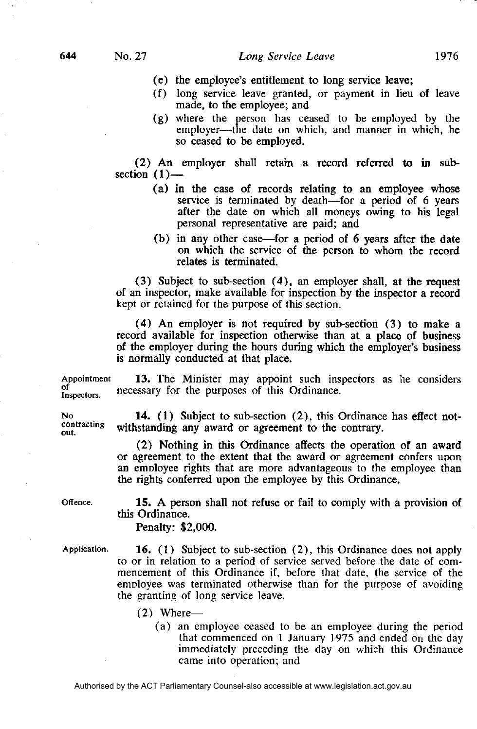- (e) the employee's entitlement to long service leave;
- (f) long service leave granted, or payment in lieu of leave made, to the employee; and
- (g) where the person has ceased to be employed by the employer—the date on which, and manner in which, he so ceased to be employed.

**(2)** An employer shall retain a record referred to in subsection  $(1)$ -

- (a) in the case of records relating to an employee whose service is terminated by death—for a period of 6 years after the date on which all moneys owing to his legal personal representative are paid; and
- (b) in any other case—for a period of 6 years after the date on which the service of the person to whom the record relates is terminated.

**(3)** Subject to sub-section **(4),** an employer shall, at the request of an inspector, make available for inspection by the inspector a record kept or retained for the purpose of this section.

**(4)** An employer is not required by sub-section **(3)** to make a record available for inspection otherwise than at a place of business of the employer during the hours during which the employer's business is normally conducted at that place.

**13.** The Minister may appoint such inspectors as he considers Appointment necessary for the purposes of this Ordinance. Inspectors.

**14.** (1) Subject to sub-section **(2),** this Ordinance has effect notcontracting withstanding any award or agreement to the contrary.

> **(2)** Nothing in this Ordinance affects the operation of an award or agreement to the extent that the award or agreement confers upon an employee rights that are more advantageous to the employee than the rights conferred upon the employee by this Ordinance.

Offence.

∩f

N<sub>0</sub>

out.

**15.** A person shall not refuse or fail to comply with a provision of this Ordinance.

Penalty: **\$2,000.** 

Application.

**16.** (1) Subject to sub-section (2), this Ordinance does not apply to or in relation to a period of service served before the date of commencement of this Ordinance if, before that date, the service of the employee was terminated otherwise than for the purpose of avoiding the granting of long service leave.

- (2) Where—
	- (a) an employee ceased to be an employee during the period that commenced on 1 January 1975 and ended on the day immediately preceding the day on which this Ordinance came into operation; and